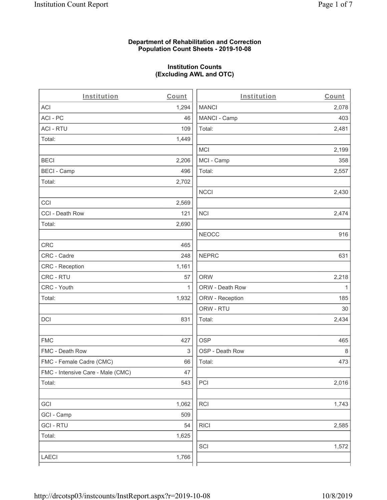### **Department of Rehabilitation and Correction Population Count Sheets - 2019-10-08**

# **Institution Counts (Excluding AWL and OTC)**

. .

| Institution                       | Count        | Institution     | Count        |
|-----------------------------------|--------------|-----------------|--------------|
| ACI                               | 1,294        | <b>MANCI</b>    | 2,078        |
| ACI - PC                          | 46           | MANCI - Camp    | 403          |
| <b>ACI - RTU</b>                  | 109          | Total:          | 2,481        |
| Total:                            | 1,449        |                 |              |
|                                   |              | <b>MCI</b>      | 2,199        |
| <b>BECI</b>                       | 2,206        | MCI - Camp      | 358          |
| <b>BECI - Camp</b>                | 496          | Total:          | 2,557        |
| Total:                            | 2,702        |                 |              |
|                                   |              | <b>NCCI</b>     | 2,430        |
| CCI                               | 2,569        |                 |              |
| CCI - Death Row                   | 121          | <b>NCI</b>      | 2,474        |
| Total:                            | 2,690        |                 |              |
|                                   |              | <b>NEOCC</b>    | 916          |
| <b>CRC</b>                        | 465          |                 |              |
| CRC - Cadre                       | 248          | <b>NEPRC</b>    | 631          |
| CRC - Reception                   | 1,161        |                 |              |
| CRC - RTU                         | 57           | <b>ORW</b>      | 2,218        |
| CRC - Youth                       | $\mathbf{1}$ | ORW - Death Row | $\mathbf{1}$ |
| Total:                            | 1,932        | ORW - Reception | 185          |
|                                   |              | ORW - RTU       | 30           |
| DCI                               | 831          | Total:          | 2,434        |
| <b>FMC</b>                        | 427          | <b>OSP</b>      | 465          |
| FMC - Death Row                   | 3            | OSP - Death Row | 8            |
| FMC - Female Cadre (CMC)          | 66           | Total:          | 473          |
| FMC - Intensive Care - Male (CMC) | 47           |                 |              |
| Total:                            | 543          | PCI             | 2,016        |
| GCI                               | 1,062        | <b>RCI</b>      | 1,743        |
| GCI - Camp                        | 509          |                 |              |
| <b>GCI - RTU</b>                  | 54           | <b>RICI</b>     | 2,585        |
| Total:                            | 1,625        |                 |              |
|                                   |              | SCI             | 1,572        |
| LAECI                             | 1,766        |                 |              |
|                                   |              |                 |              |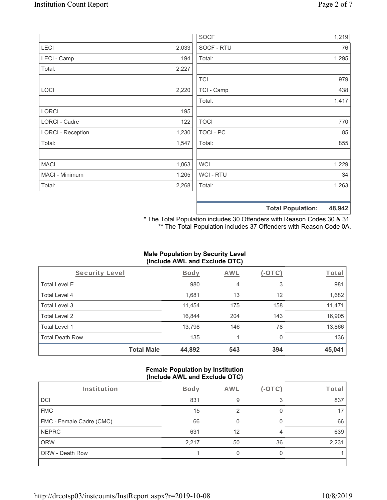|                          |       | <b>SOCF</b>      | 1,219                              |
|--------------------------|-------|------------------|------------------------------------|
| <b>LECI</b>              | 2,033 | SOCF - RTU       | 76                                 |
| LECI - Camp              | 194   | Total:           | 1,295                              |
| Total:                   | 2,227 |                  |                                    |
|                          |       | <b>TCI</b>       | 979                                |
| <b>LOCI</b>              | 2,220 | TCI - Camp       | 438                                |
|                          |       | Total:           | 1,417                              |
| LORCI                    | 195   |                  |                                    |
| <b>LORCI - Cadre</b>     | 122   | <b>TOCI</b>      | 770                                |
| <b>LORCI - Reception</b> | 1,230 | <b>TOCI - PC</b> | 85                                 |
| Total:                   | 1,547 | Total:           | 855                                |
|                          |       |                  |                                    |
| <b>MACI</b>              | 1,063 | <b>WCI</b>       | 1,229                              |
| MACI - Minimum           | 1,205 | WCI - RTU        | 34                                 |
| Total:                   | 2,268 | Total:           | 1,263                              |
|                          |       |                  |                                    |
|                          |       |                  | 48,942<br><b>Total Population:</b> |

\* The Total Population includes 30 Offenders with Reason Codes 30 & 31. \*\* The Total Population includes 37 Offenders with Reason Code 0A.

# **Male Population by Security Level (Include AWL and Exclude OTC)**

| Security Level         |                   | Body   | AWL | $(-\text{OTC})$ | Total  |
|------------------------|-------------------|--------|-----|-----------------|--------|
| <b>Total Level E</b>   |                   | 980    | 4   | 3               | 981    |
| <b>Total Level 4</b>   |                   | 1,681  | 13  | 12              | 1,682  |
| Total Level 3          |                   | 11,454 | 175 | 158             | 11,471 |
| Total Level 2          |                   | 16,844 | 204 | 143             | 16,905 |
| Total Level 1          |                   | 13,798 | 146 | 78              | 13,866 |
| <b>Total Death Row</b> |                   | 135    |     | $\Omega$        | 136    |
|                        | <b>Total Male</b> | 44,892 | 543 | 394             | 45,041 |

### **Female Population by Institution (Include AWL and Exclude OTC)**

| Institution                     | Body  | AWL |    | Total |
|---------------------------------|-------|-----|----|-------|
| <b>DCI</b>                      | 831   |     |    | 837   |
| <b>FMC</b>                      | 15    |     |    |       |
| <b>FMC - Female Cadre (CMC)</b> | 66    |     |    | 66    |
| <b>NEPRC</b>                    | 631   | 12  |    | 639   |
| <b>ORW</b>                      | 2,217 | 50  | 36 | 2,231 |
| <b>ORW - Death Row</b>          |       |     |    |       |
|                                 |       |     |    |       |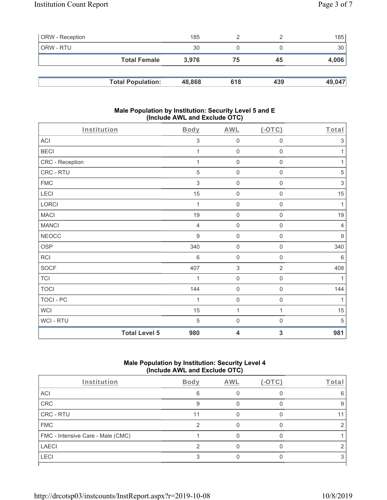| <b>ORW</b> - Reception |                          | 185    |     |     | 185    |
|------------------------|--------------------------|--------|-----|-----|--------|
| ORW - RTU              |                          | 30     |     |     | 30     |
|                        | <b>Total Female</b>      | 3,976  | 75  | 45  | 4,006  |
|                        |                          |        |     |     |        |
|                        | <b>Total Population:</b> | 48,868 | 618 | 439 | 49,047 |

#### **Male Population by Institution: Security Level 5 and E (Include AWL and Exclude OTC)**

| Institution          | Body            | <b>AWL</b>          | $($ -OTC $)$        | Total            |
|----------------------|-----------------|---------------------|---------------------|------------------|
| ACI                  | 3               | $\mathsf{O}\xspace$ | $\mathsf{O}\xspace$ | $\mathfrak{S}$   |
| <b>BECI</b>          | 1               | $\mathsf{O}\xspace$ | $\mathsf{O}\xspace$ | 1                |
| CRC - Reception      | 1               | $\mathsf{O}\xspace$ | $\mathsf{O}\xspace$ | 1                |
| CRC - RTU            | 5               | $\mathsf{O}\xspace$ | $\mathsf{O}\xspace$ | 5                |
| <b>FMC</b>           | 3               | $\mathsf{O}\xspace$ | $\mathsf{O}\xspace$ | $\mathsf 3$      |
| LECI                 | 15              | $\mathsf{O}\xspace$ | $\mathsf 0$         | 15               |
| LORCI                | 1               | $\mathsf{O}\xspace$ | $\mathsf{O}\xspace$ | 1                |
| <b>MACI</b>          | 19              | $\mathsf{O}\xspace$ | $\mathsf{O}\xspace$ | 19               |
| <b>MANCI</b>         | $\overline{4}$  | $\mathsf{O}\xspace$ | $\mathbf 0$         | $\overline{4}$   |
| <b>NEOCC</b>         | 9               | $\mathsf{O}\xspace$ | $\mathsf{O}\xspace$ | $\boldsymbol{9}$ |
| <b>OSP</b>           | 340             | $\mathsf{O}\xspace$ | $\mathsf{O}\xspace$ | 340              |
| RCI                  | $6\phantom{1}6$ | $\mathsf{O}\xspace$ | $\mathsf 0$         | $6\,$            |
| <b>SOCF</b>          | 407             | $\sqrt{3}$          | $\overline{2}$      | 408              |
| <b>TCI</b>           | 1               | $\mathsf{O}\xspace$ | $\mathbf 0$         | 1                |
| <b>TOCI</b>          | 144             | $\mathsf{O}\xspace$ | $\mathbf 0$         | 144              |
| <b>TOCI - PC</b>     | 1               | $\mathsf 0$         | $\boldsymbol{0}$    | 1                |
| <b>WCI</b>           | 15              | 1                   | 1                   | 15               |
| WCI - RTU            | 5               | $\mathsf{O}\xspace$ | $\mathsf{O}\xspace$ | 5                |
| <b>Total Level 5</b> | 980             | 4                   | 3                   | 981              |

# **Male Population by Institution: Security Level 4 (Include AWL and Exclude OTC)**

|    |  | Total |
|----|--|-------|
| 6  |  |       |
| 9  |  |       |
| 11 |  |       |
| ◠  |  |       |
|    |  |       |
|    |  |       |
|    |  |       |
|    |  |       |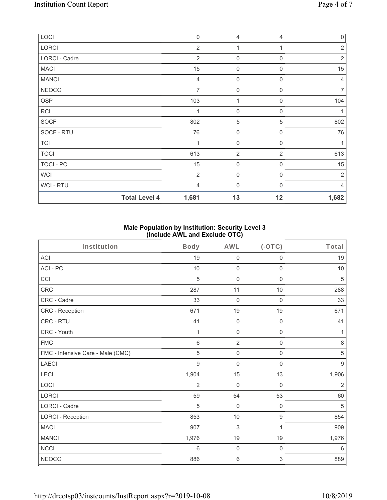| LOCI<br>LORCI  | $\overline{2}$                | 4<br>1              | 1              | $\overline{0}$<br>$\overline{2}$ |
|----------------|-------------------------------|---------------------|----------------|----------------------------------|
| LORCI - Cadre  | $\overline{2}$                | $\boldsymbol{0}$    | 0              | $\overline{2}$                   |
| <b>MACI</b>    | 15                            | $\boldsymbol{0}$    | 0              | 15                               |
| <b>MANCI</b>   | 4                             | $\boldsymbol{0}$    | $\mathbf 0$    | 4                                |
| <b>NEOCC</b>   | $\overline{7}$                | 0                   | $\Omega$       | $\overline{7}$                   |
| OSP            | 103                           | 1                   | $\mathbf 0$    | 104                              |
| <b>RCI</b>     | $\mathbf{1}$                  | $\mathbf 0$         | $\mathbf 0$    |                                  |
| SOCF           | 802                           | 5                   | 5              | 802                              |
| SOCF - RTU     | 76                            | 0                   | $\mathbf 0$    | 76                               |
| <b>TCI</b>     | 1                             | $\mathsf{O}\xspace$ | $\mathbf 0$    | 1                                |
| <b>TOCI</b>    | 613                           | $\overline{2}$      | $\overline{2}$ | 613                              |
| TOCI - PC      | 15                            | $\mathsf{O}\xspace$ | 0              | 15                               |
| <b>WCI</b>     | $\overline{2}$                | $\mathsf{O}\xspace$ | $\mathbf 0$    | 2                                |
| <b>WCI-RTU</b> | $\overline{4}$                | 0                   | $\Omega$       | 4                                |
|                | <b>Total Level 4</b><br>1,681 | 13                  | 12             | 1,682                            |

## **Male Population by Institution: Security Level 3 (Include AWL and Exclude OTC)**

| Institution                       | <b>Body</b>    | <b>AWL</b>          | (OTC)               | Total            |
|-----------------------------------|----------------|---------------------|---------------------|------------------|
| <b>ACI</b>                        | 19             | $\mathsf{O}\xspace$ | $\mathsf{O}\xspace$ | 19               |
| ACI-PC                            | 10             | $\mathbf 0$         | $\mathsf{O}\xspace$ | 10               |
| CCI                               | 5              | $\mathbf{0}$        | $\mathbf 0$         | 5                |
| <b>CRC</b>                        | 287            | 11                  | 10                  | 288              |
| CRC - Cadre                       | 33             | $\mathbf 0$         | $\mathbf 0$         | 33               |
| CRC - Reception                   | 671            | $19$                | 19                  | 671              |
| CRC - RTU                         | 41             | $\mathbf 0$         | $\boldsymbol{0}$    | 41               |
| CRC - Youth                       | 1              | $\mathsf{O}\xspace$ | $\mathbf 0$         | 1                |
| <b>FMC</b>                        | 6              | $\overline{2}$      | $\mathbf 0$         | 8                |
| FMC - Intensive Care - Male (CMC) | 5              | $\mathbf 0$         | $\mathsf{O}\xspace$ | $\mathbf 5$      |
| <b>LAECI</b>                      | 9              | $\boldsymbol{0}$    | $\mathbf 0$         | $\boldsymbol{9}$ |
| LECI                              | 1,904          | 15                  | 13                  | 1,906            |
| LOCI                              | $\overline{2}$ | $\mathbf 0$         | $\mathbf 0$         | $\sqrt{2}$       |
| <b>LORCI</b>                      | 59             | 54                  | 53                  | 60               |
| <b>LORCI - Cadre</b>              | 5              | $\mathbf 0$         | $\mathbf 0$         | 5                |
| <b>LORCI - Reception</b>          | 853            | 10                  | $\boldsymbol{9}$    | 854              |
| <b>MACI</b>                       | 907            | $\sqrt{3}$          | $\mathbf{1}$        | 909              |
| <b>MANCI</b>                      | 1,976          | 19                  | 19                  | 1,976            |
| <b>NCCI</b>                       | 6              | $\mathbf 0$         | $\mathbf 0$         | $\,6\,$          |
| <b>NEOCC</b>                      | 886            | 6                   | 3                   | 889              |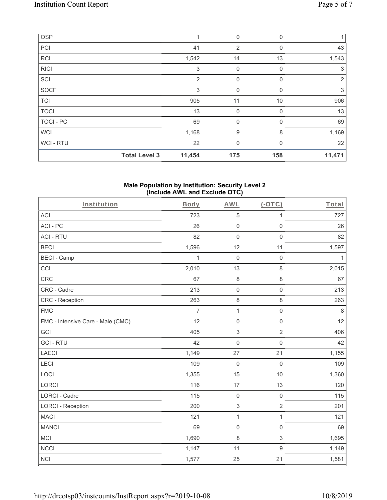| OSP         |                      |        | 0            | 0        |        |
|-------------|----------------------|--------|--------------|----------|--------|
| PCI         |                      | 41     | 2            | 0        | 43     |
| <b>RCI</b>  |                      | 1,542  | 14           | 13       | 1,543  |
| <b>RICI</b> |                      | 3      | 0            | 0        | 3      |
| SCI         |                      | 2      | $\mathbf 0$  | 0        | 2      |
| <b>SOCF</b> |                      | 3      | $\mathbf 0$  | $\Omega$ | 3      |
| <b>TCI</b>  |                      | 905    | 11           | 10       | 906    |
| <b>TOCI</b> |                      | 13     | $\mathbf 0$  | 0        | 13     |
| TOCI - PC   |                      | 69     | 0            | 0        | 69     |
| <b>WCI</b>  |                      | 1,168  | 9            | 8        | 1,169  |
| WCI-RTU     |                      | 22     | $\mathbf{0}$ | $\Omega$ | 22     |
|             | <b>Total Level 3</b> | 11,454 | 175          | 158      | 11,471 |

#### **Male Population by Institution: Security Level 2 (Include AWL and Exclude OTC)**

| Institution                       | Body           | <b>AWL</b>                | $(-OTC)$            | Total        |
|-----------------------------------|----------------|---------------------------|---------------------|--------------|
| <b>ACI</b>                        | 723            | $\mathbf 5$               | 1                   | 727          |
| ACI-PC                            | 26             | $\mathsf 0$               | $\mathsf 0$         | 26           |
| <b>ACI - RTU</b>                  | 82             | $\mathsf{O}\xspace$       | $\mathbf 0$         | 82           |
| <b>BECI</b>                       | 1,596          | 12                        | 11                  | 1,597        |
| <b>BECI - Camp</b>                | $\mathbf{1}$   | $\mathbf 0$               | $\mathsf 0$         | $\mathbf{1}$ |
| CCI                               | 2,010          | 13                        | 8                   | 2,015        |
| CRC                               | 67             | $\,8\,$                   | 8                   | 67           |
| CRC - Cadre                       | 213            | $\mathsf 0$               | $\mathsf{O}\xspace$ | 213          |
| <b>CRC</b> - Reception            | 263            | $\,8\,$                   | 8                   | 263          |
| <b>FMC</b>                        | $\overline{7}$ | $\mathbf{1}$              | $\mathsf{O}\xspace$ | $\,8\,$      |
| FMC - Intensive Care - Male (CMC) | 12             | $\mathsf 0$               | $\mathsf{O}\xspace$ | 12           |
| GCI                               | 405            | 3                         | $\overline{2}$      | 406          |
| <b>GCI-RTU</b>                    | 42             | $\mathbf 0$               | $\mathsf{O}\xspace$ | 42           |
| LAECI                             | 1,149          | 27                        | 21                  | 1,155        |
| LECI                              | 109            | $\mathbf 0$               | $\mathbf 0$         | 109          |
| LOCI                              | 1,355          | 15                        | 10                  | 1,360        |
| LORCI                             | 116            | 17                        | 13                  | 120          |
| LORCI - Cadre                     | 115            | $\mathbf 0$               | $\mathsf 0$         | 115          |
| <b>LORCI - Reception</b>          | 200            | $\ensuremath{\mathsf{3}}$ | $\overline{2}$      | 201          |
| <b>MACI</b>                       | 121            | $\mathbf 1$               | $\mathbf{1}$        | 121          |
| <b>MANCI</b>                      | 69             | $\mathsf 0$               | $\mathbf 0$         | 69           |
| <b>MCI</b>                        | 1,690          | 8                         | 3                   | 1,695        |
| <b>NCCI</b>                       | 1,147          | 11                        | $\boldsymbol{9}$    | 1,149        |
| <b>NCI</b>                        | 1,577          | 25                        | 21                  | 1,581        |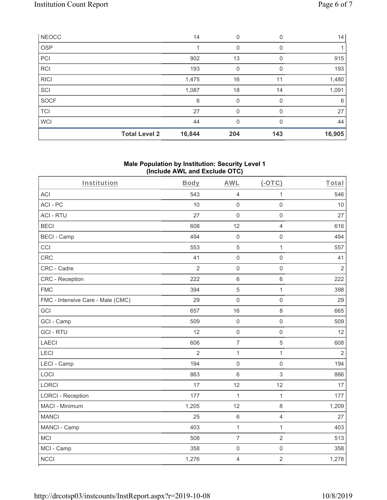| <b>NEOCC</b> |                      | 14     | 0            | 0        | 14     |
|--------------|----------------------|--------|--------------|----------|--------|
| OSP          |                      |        | 0            | 0        |        |
| PCI          |                      | 902    | 13           | 0        | 915    |
| <b>RCI</b>   |                      | 193    | 0            | $\Omega$ | 193    |
| <b>RICI</b>  |                      | 1,475  | 16           | 11       | 1,480  |
| SCI          |                      | 1,087  | 18           | 14       | 1,091  |
| SOCF         |                      | 6      | 0            | 0        | 6      |
| <b>TCI</b>   |                      | 27     | 0            | $\Omega$ | 27     |
| <b>WCI</b>   |                      | 44     | $\mathbf{0}$ | $\Omega$ | 44     |
|              | <b>Total Level 2</b> | 16,844 | 204          | 143      | 16,905 |

### **Male Population by Institution: Security Level 1 (Include AWL and Exclude OTC)**

| Institution                       | Body           | <b>AWL</b>          | $(-OTC)$            | Total          |
|-----------------------------------|----------------|---------------------|---------------------|----------------|
| <b>ACI</b>                        | 543            | $\overline{4}$      | 1                   | 546            |
| ACI-PC                            | 10             | $\mathbf 0$         | $\mathsf{O}\xspace$ | 10             |
| <b>ACI - RTU</b>                  | 27             | $\mathbf 0$         | $\mathsf{O}\xspace$ | 27             |
| <b>BECI</b>                       | 608            | 12                  | $\overline{4}$      | 616            |
| <b>BECI - Camp</b>                | 494            | $\mathbf 0$         | $\mathsf{O}\xspace$ | 494            |
| CCI                               | 553            | 5                   | $\mathbf{1}$        | 557            |
| <b>CRC</b>                        | 41             | $\mathbf 0$         | $\mathbf 0$         | 41             |
| CRC - Cadre                       | $\overline{2}$ | $\mathbf 0$         | $\mathbf 0$         | $\overline{2}$ |
| CRC - Reception                   | 222            | $\,6\,$             | $\,6\,$             | 222            |
| <b>FMC</b>                        | 394            | 5                   | $\mathbf{1}$        | 398            |
| FMC - Intensive Care - Male (CMC) | 29             | $\mathbf 0$         | $\mathbf 0$         | 29             |
| GCI                               | 657            | 16                  | $\,8\,$             | 665            |
| GCI - Camp                        | 509            | $\mathbf 0$         | $\mathsf 0$         | 509            |
| <b>GCI-RTU</b>                    | 12             | $\mathbf 0$         | $\mathbf 0$         | 12             |
| <b>LAECI</b>                      | 606            | $\overline{7}$      | $\sqrt{5}$          | 608            |
| LECI                              | $\overline{2}$ | $\mathbf{1}$        | $\mathbf{1}$        | $\overline{2}$ |
| LECI - Camp                       | 194            | $\mathsf{O}\xspace$ | $\mathsf 0$         | 194            |
| LOCI                              | 863            | $6\,$               | $\mathfrak{S}$      | 866            |
| <b>LORCI</b>                      | 17             | 12                  | 12                  | 17             |
| <b>LORCI - Reception</b>          | 177            | 1                   | $\mathbf{1}$        | 177            |
| MACI - Minimum                    | 1,205          | 12                  | $\,8\,$             | 1,209          |
| <b>MANCI</b>                      | 25             | $\,6\,$             | $\overline{4}$      | 27             |
| MANCI - Camp                      | 403            | $\mathbf 1$         | $\mathbf{1}$        | 403            |
| <b>MCI</b>                        | 508            | $\overline{7}$      | $\sqrt{2}$          | 513            |
| MCI - Camp                        | 358            | $\mathbf 0$         | $\mathsf{O}\xspace$ | 358            |
| <b>NCCI</b>                       | 1,276          | $\overline{4}$      | $\overline{2}$      | 1,278          |